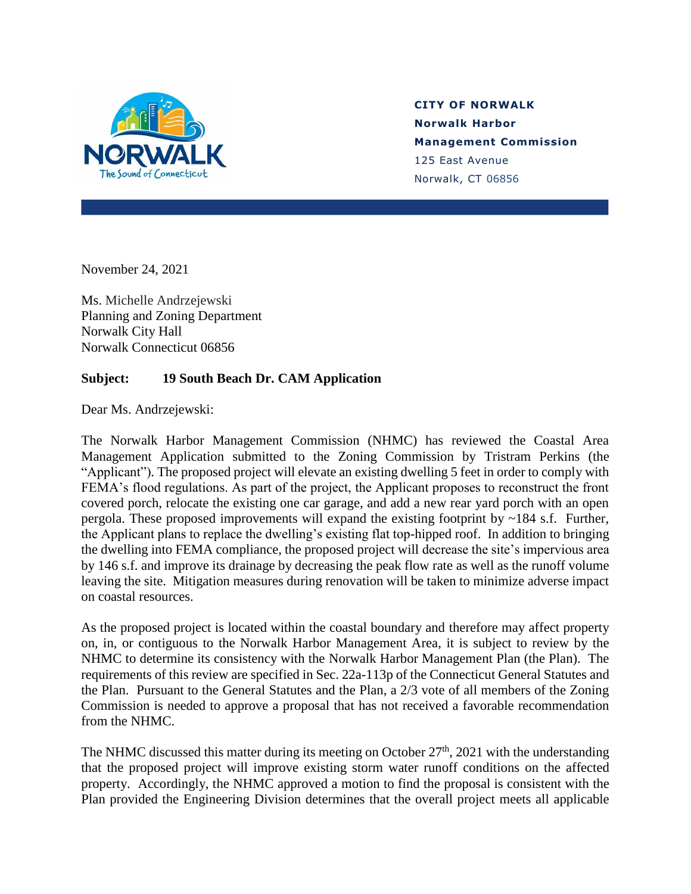

## **CITY OF NORWALK Norwalk Harbor Management Commission** 125 East Avenue Norwalk, CT 06856

November 24, 2021

Ms. Michelle Andrzejewski Planning and Zoning Department Norwalk City Hall Norwalk Connecticut 06856

## **Subject: 19 South Beach Dr. CAM Application**

Dear Ms. Andrzejewski:

The Norwalk Harbor Management Commission (NHMC) has reviewed the Coastal Area Management Application submitted to the Zoning Commission by Tristram Perkins (the "Applicant"). The proposed project will elevate an existing dwelling 5 feet in order to comply with FEMA's flood regulations. As part of the project, the Applicant proposes to reconstruct the front covered porch, relocate the existing one car garage, and add a new rear yard porch with an open pergola. These proposed improvements will expand the existing footprint by  $\sim$ 184 s.f. Further, the Applicant plans to replace the dwelling's existing flat top-hipped roof. In addition to bringing the dwelling into FEMA compliance, the proposed project will decrease the site's impervious area by 146 s.f. and improve its drainage by decreasing the peak flow rate as well as the runoff volume leaving the site. Mitigation measures during renovation will be taken to minimize adverse impact on coastal resources.

As the proposed project is located within the coastal boundary and therefore may affect property on, in, or contiguous to the Norwalk Harbor Management Area, it is subject to review by the NHMC to determine its consistency with the Norwalk Harbor Management Plan (the Plan). The requirements of this review are specified in Sec. 22a-113p of the Connecticut General Statutes and the Plan. Pursuant to the General Statutes and the Plan, a 2/3 vote of all members of the Zoning Commission is needed to approve a proposal that has not received a favorable recommendation from the NHMC.

The NHMC discussed this matter during its meeting on October  $27<sup>th</sup>$ , 2021 with the understanding that the proposed project will improve existing storm water runoff conditions on the affected property. Accordingly, the NHMC approved a motion to find the proposal is consistent with the Plan provided the Engineering Division determines that the overall project meets all applicable